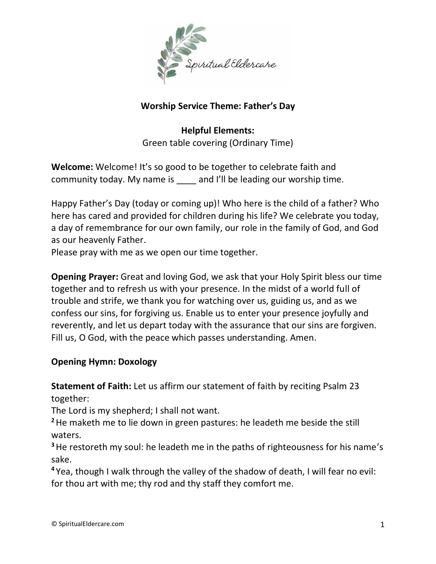

# **Worship Service Theme: Father's Day**

**Helpful Elements:** Green table covering (Ordinary Time)

**Welcome:** Welcome! It's so good to be together to celebrate faith and community today. My name is and I'll be leading our worship time.

Happy Father's Day (today or coming up)! Who here is the child of a father? Who here has cared and provided for children during his life? We celebrate you today, a day of remembrance for our own family, our role in the family of God, and God as our heavenly Father.

Please pray with me as we open our time together.

**Opening Prayer:** Great and loving God, we ask that your Holy Spirit bless our time together and to refresh us with your presence. In the midst of a world full of trouble and strife, we thank you for watching over us, guiding us, and as we confess our sins, for forgiving us. Enable us to enter your presence joyfully and reverently, and let us depart today with the assurance that our sins are forgiven. Fill us, O God, with the peace which passes understanding. Amen.

## **Opening Hymn: Doxology**

**Statement of Faith:** Let us affirm our statement of faith by reciting Psalm 23 together:

The Lord is my shepherd; I shall not want.

**<sup>2</sup>**He maketh me to lie down in green pastures: he leadeth me beside the still waters.

**<sup>3</sup>**He restoreth my soul: he leadeth me in the paths of righteousness for his name's sake.

**<sup>4</sup>** Yea, though I walk through the valley of the shadow of death, I will fear no evil: for thou art with me; thy rod and thy staff they comfort me.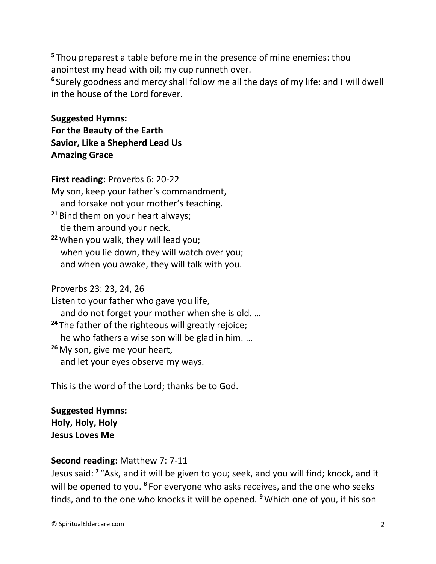**<sup>5</sup>** Thou preparest a table before me in the presence of mine enemies: thou anointest my head with oil; my cup runneth over.

**6** Surely goodness and mercy shall follow me all the days of my life: and I will dwell in the house of the Lord forever.

**Suggested Hymns: For the Beauty of the Earth Savior, Like a Shepherd Lead Us Amazing Grace**

**First reading:** Proverbs 6: 20-22 My son, keep your father's commandment, and forsake not your mother's teaching.

**<sup>21</sup>** Bind them on your heart always; tie them around your neck.

**<sup>22</sup>**When you walk, they will lead you; when you lie down, they will watch over you; and when you awake, they will talk with you.

### Proverbs 23: 23, 24, 26

Listen to your father who gave you life, and do not forget your mother when she is old. … **<sup>24</sup>** The father of the righteous will greatly rejoice; he who fathers a wise son will be glad in him. … **<sup>26</sup>**My son, give me your heart, and let your eyes observe my ways.

This is the word of the Lord; thanks be to God.

**Suggested Hymns: Holy, Holy, Holy Jesus Loves Me**

### **Second reading:** Matthew 7: 7-11

Jesus said: **<sup>7</sup>** "Ask, and it will be given to you; seek, and you will find; knock, and it will be opened to you. **<sup>8</sup>** For everyone who asks receives, and the one who seeks finds, and to the one who knocks it will be opened. **<sup>9</sup>**Which one of you, if his son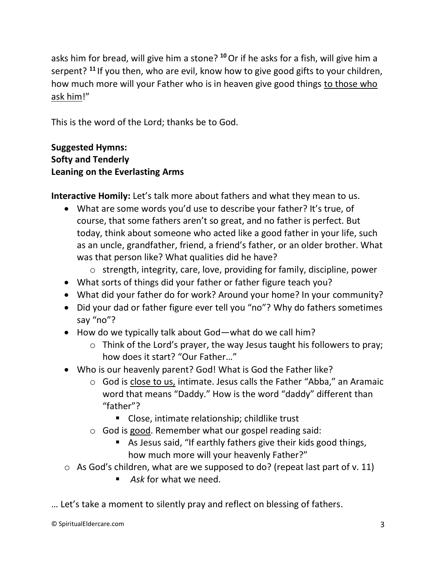asks him for bread, will give him a stone? **<sup>10</sup>**Or if he asks for a fish, will give him a serpent? **<sup>11</sup>** If you then, who are evil, know how to give good gifts to your children, how much more will your Father who is in heaven give good things to those who ask him!"

This is the word of the Lord; thanks be to God.

## **Suggested Hymns: Softy and Tenderly Leaning on the Everlasting Arms**

**Interactive Homily:** Let's talk more about fathers and what they mean to us.

- What are some words you'd use to describe your father? It's true, of course, that some fathers aren't so great, and no father is perfect. But today, think about someone who acted like a good father in your life, such as an uncle, grandfather, friend, a friend's father, or an older brother. What was that person like? What qualities did he have?
	- o strength, integrity, care, love, providing for family, discipline, power
- What sorts of things did your father or father figure teach you?
- What did your father do for work? Around your home? In your community?
- Did your dad or father figure ever tell you "no"? Why do fathers sometimes say "no"?
- How do we typically talk about God—what do we call him?
	- o Think of the Lord's prayer, the way Jesus taught his followers to pray; how does it start? "Our Father…"
- Who is our heavenly parent? God! What is God the Father like?
	- o God is close to us, intimate. Jesus calls the Father "Abba," an Aramaic word that means "Daddy." How is the word "daddy" different than "father"?
		- Close, intimate relationship; childlike trust
	- o God is good. Remember what our gospel reading said:
		- As Jesus said, "If earthly fathers give their kids good things, how much more will your heavenly Father?"
- $\circ$  As God's children, what are we supposed to do? (repeat last part of v. 11)
	- *Ask* for what we need.

… Let's take a moment to silently pray and reflect on blessing of fathers.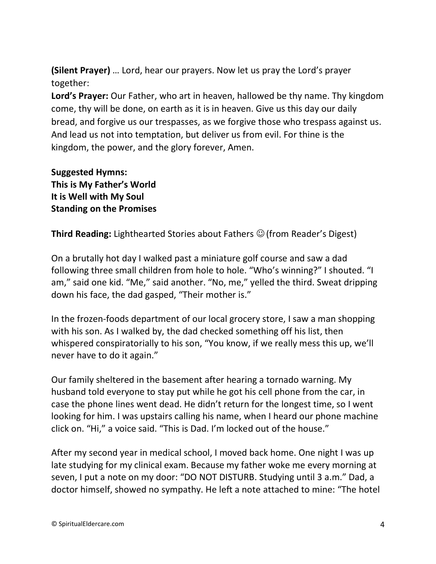**(Silent Prayer)** … Lord, hear our prayers. Now let us pray the Lord's prayer together:

**Lord's Prayer:** Our Father, who art in heaven, hallowed be thy name. Thy kingdom come, thy will be done, on earth as it is in heaven. Give us this day our daily bread, and forgive us our trespasses, as we forgive those who trespass against us. And lead us not into temptation, but deliver us from evil. For thine is the kingdom, the power, and the glory forever, Amen.

**Suggested Hymns: This is My Father's World It is Well with My Soul Standing on the Promises**

**Third Reading:** Lighthearted Stories about Fathers ☺(from Reader's Digest)

On a brutally hot day I walked past a miniature golf course and saw a dad following three small children from hole to hole. "Who's winning?" I shouted. "I am," said one kid. "Me," said another. "No, me," yelled the third. Sweat dripping down his face, the dad gasped, "Their mother is."

In the frozen-foods department of our local grocery store, I saw a man shopping with his son. As I walked by, the dad checked something off his list, then whispered conspiratorially to his son, "You know, if we really mess this up, we'll never have to do it again."

Our family sheltered in the basement after hearing a tornado warning. My husband told everyone to stay put while he got his cell phone from the car, in case the phone lines went dead. He didn't return for the longest time, so I went looking for him. I was upstairs calling his name, when I heard our phone machine click on. "Hi," a voice said. "This is Dad. I'm locked out of the house."

After my second year in medical school, I moved back home. One night I was up late studying for my clinical exam. Because my father woke me every morning at seven, I put a note on my door: "DO NOT DISTURB. Studying until 3 a.m." Dad, a doctor himself, showed no sympathy. He left a note attached to mine: "The hotel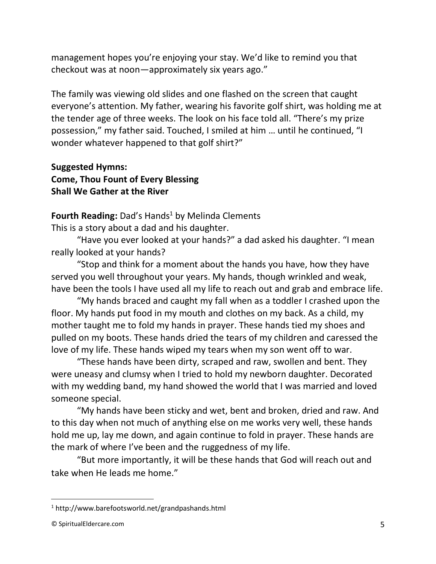management hopes you're enjoying your stay. We'd like to remind you that checkout was at noon—approximately six years ago."

The family was viewing old slides and one flashed on the screen that caught everyone's attention. My father, wearing his favorite golf shirt, was holding me at the tender age of three weeks. The look on his face told all. "There's my prize possession," my father said. Touched, I smiled at him … until he continued, "I wonder whatever happened to that golf shirt?"

**Suggested Hymns: Come, Thou Fount of Every Blessing Shall We Gather at the River**

**Fourth Reading:** Dad's Hands<sup>1</sup> by Melinda Clements

This is a story about a dad and his daughter.

"Have you ever looked at your hands?" a dad asked his daughter. "I mean really looked at your hands?

"Stop and think for a moment about the hands you have, how they have served you well throughout your years. My hands, though wrinkled and weak, have been the tools I have used all my life to reach out and grab and embrace life.

"My hands braced and caught my fall when as a toddler I crashed upon the floor. My hands put food in my mouth and clothes on my back. As a child, my mother taught me to fold my hands in prayer. These hands tied my shoes and pulled on my boots. These hands dried the tears of my children and caressed the love of my life. These hands wiped my tears when my son went off to war.

"These hands have been dirty, scraped and raw, swollen and bent. They were uneasy and clumsy when I tried to hold my newborn daughter. Decorated with my wedding band, my hand showed the world that I was married and loved someone special.

"My hands have been sticky and wet, bent and broken, dried and raw. And to this day when not much of anything else on me works very well, these hands hold me up, lay me down, and again continue to fold in prayer. These hands are the mark of where I've been and the ruggedness of my life.

"But more importantly, it will be these hands that God will reach out and take when He leads me home."

<sup>1</sup> http://www.barefootsworld.net/grandpashands.html